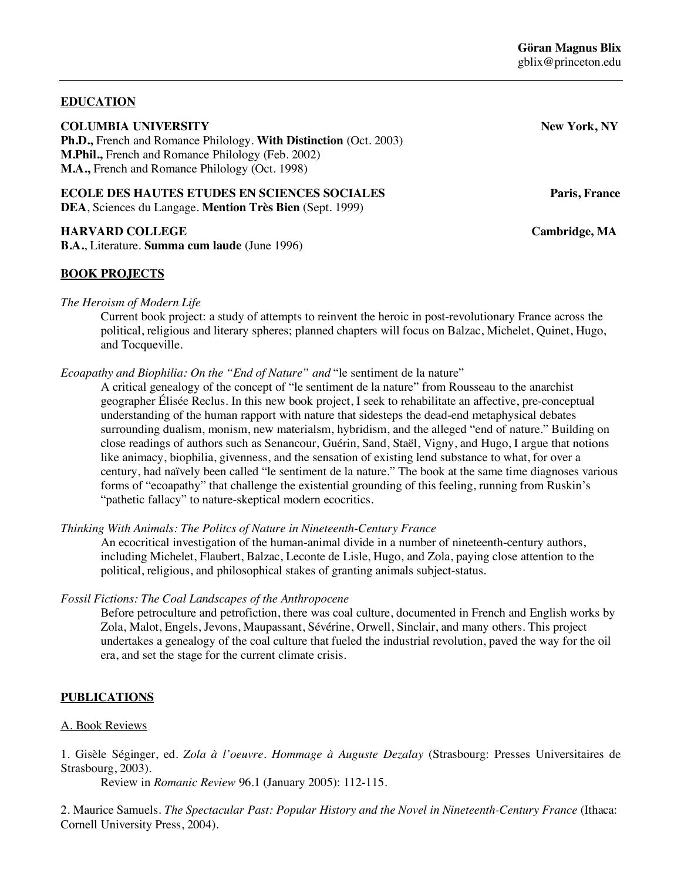## **EDUCATION**

#### **COLUMBIA UNIVERSITY** *New York, NY*

**Ph.D.,** French and Romance Philology. **With Distinction** (Oct. 2003) **M.Phil.,** French and Romance Philology (Feb. 2002) **M.A.,** French and Romance Philology (Oct. 1998)

# **ECOLE DES HAUTES ETUDES EN SCIENCES SOCIALES** Paris, France

**DEA**, Sciences du Langage. **Mention Très Bien** (Sept. 1999)

## **HARVARD COLLEGE Cambridge, MA**

**B.A.**, Literature. **Summa cum laude** (June 1996)

## **BOOK PROJECTS**

*The Heroism of Modern Life*

Current book project: a study of attempts to reinvent the heroic in post-revolutionary France across the political, religious and literary spheres; planned chapters will focus on Balzac, Michelet, Quinet, Hugo, and Tocqueville.

*Ecoapathy and Biophilia: On the "End of Nature" and* "le sentiment de la nature"

A critical genealogy of the concept of "le sentiment de la nature" from Rousseau to the anarchist geographer Élisée Reclus. In this new book project, I seek to rehabilitate an affective, pre-conceptual understanding of the human rapport with nature that sidesteps the dead-end metaphysical debates surrounding dualism, monism, new materialsm, hybridism, and the alleged "end of nature." Building on close readings of authors such as Senancour, Guérin, Sand, Staël, Vigny, and Hugo, I argue that notions like animacy, biophilia, givenness, and the sensation of existing lend substance to what, for over a century, had naïvely been called "le sentiment de la nature." The book at the same time diagnoses various forms of "ecoapathy" that challenge the existential grounding of this feeling, running from Ruskin's "pathetic fallacy" to nature-skeptical modern ecocritics.

*Thinking With Animals: The Politcs of Nature in Nineteenth-Century France*

An ecocritical investigation of the human-animal divide in a number of nineteenth-century authors, including Michelet, Flaubert, Balzac, Leconte de Lisle, Hugo, and Zola, paying close attention to the political, religious, and philosophical stakes of granting animals subject-status.

### *Fossil Fictions: The Coal Landscapes of the Anthropocene*

Before petroculture and petrofiction, there was coal culture, documented in French and English works by Zola, Malot, Engels, Jevons, Maupassant, Sévérine, Orwell, Sinclair, and many others. This project undertakes a genealogy of the coal culture that fueled the industrial revolution, paved the way for the oil era, and set the stage for the current climate crisis.

### **PUBLICATIONS**

### A. Book Reviews

1. Gisèle Séginger, ed. *Zola à l'oeuvre. Hommage à Auguste Dezalay* (Strasbourg: Presses Universitaires de Strasbourg, 2003).

Review in *Romanic Review* 96.1 (January 2005): 112-115.

2. Maurice Samuels. *The Spectacular Past: Popular History and the Novel in Nineteenth-Century France* (Ithaca: Cornell University Press, 2004).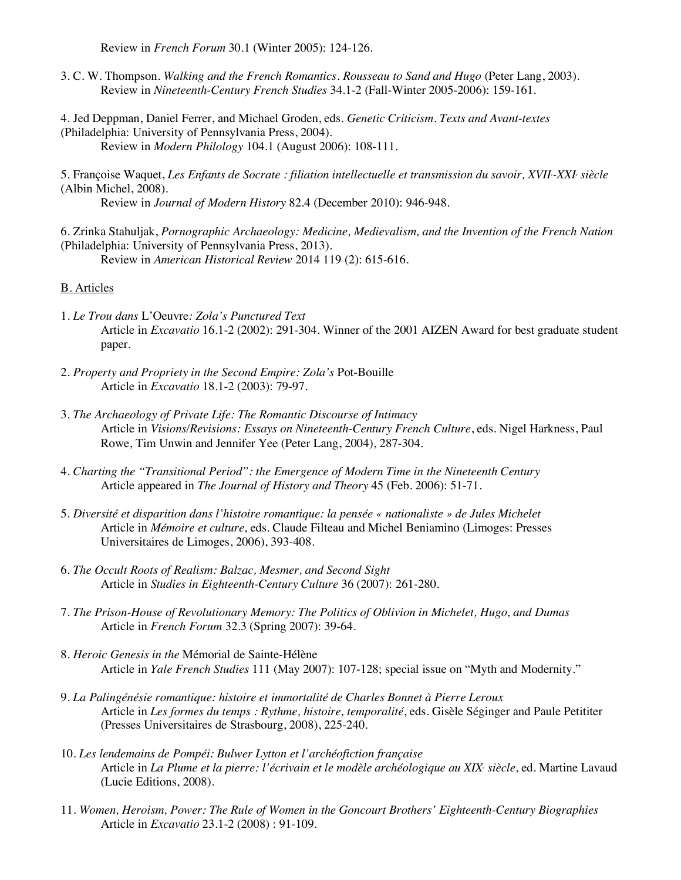Review in *French Forum* 30.1 (Winter 2005): 124-126.

- 3. C. W. Thompson. *Walking and the French Romantics. Rousseau to Sand and Hugo* (Peter Lang, 2003). Review in *Nineteenth-Century French Studies* 34.1-2 (Fall-Winter 2005-2006): 159-161.
- 4. Jed Deppman, Daniel Ferrer, and Michael Groden, eds. *Genetic Criticism. Texts and Avant-textes* (Philadelphia: University of Pennsylvania Press, 2004). Review in *Modern Philology* 104.1 (August 2006): 108-111.
- 5. Françoise Waquet, *Les Enfants de Socrate : filiation intellectuelle et transmission du savoir, XVIIe -XXIe siècle* (Albin Michel, 2008).

Review in *Journal of Modern History* 82.4 (December 2010): 946-948.

6. Zrinka Stahuljak, *Pornographic Archaeology: Medicine, Medievalism, and the Invention of the French Nation* (Philadelphia: University of Pennsylvania Press, 2013).

Review in *American Historical Review* 2014 119 (2): 615-616.

#### B. Articles

- 1. *Le Trou dans* L'Oeuvre*: Zola's Punctured Text*  Article in *Excavatio* 16.1-2 (2002): 291-304. Winner of the 2001 AIZEN Award for best graduate student paper.
- 2. *Property and Propriety in the Second Empire: Zola's* Pot-Bouille Article in *Excavatio* 18.1-2 (2003): 79-97.
- 3. *The Archaeology of Private Life: The Romantic Discourse of Intimacy* Article in *Visions/Revisions: Essays on Nineteenth-Century French Culture*, eds. Nigel Harkness, Paul Rowe, Tim Unwin and Jennifer Yee (Peter Lang, 2004), 287-304.
- 4. *Charting the "Transitional Period": the Emergence of Modern Time in the Nineteenth Century* Article appeared in *The Journal of History and Theory* 45 (Feb. 2006): 51-71.
- 5. *Diversité et disparition dans l'histoire romantique: la pensée « nationaliste » de Jules Michelet*  Article in *Mémoire et culture*, eds. Claude Filteau and Michel Beniamino (Limoges: Presses Universitaires de Limoges, 2006), 393-408.
- 6. *The Occult Roots of Realism: Balzac, Mesmer, and Second Sight* Article in *Studies in Eighteenth-Century Culture* 36 (2007): 261-280.
- 7. *The Prison-House of Revolutionary Memory: The Politics of Oblivion in Michelet, Hugo, and Dumas* Article in *French Forum* 32.3 (Spring 2007): 39-64.
- 8. *Heroic Genesis in the* Mémorial de Sainte-Hélène Article in *Yale French Studies* 111 (May 2007): 107-128; special issue on "Myth and Modernity."
- 9. *La Palingénésie romantique: histoire et immortalité de Charles Bonnet à Pierre Leroux*  Article in *Les formes du temps : Rythme, histoire, temporalité*, eds. Gisèle Séginger and Paule Petititer (Presses Universitaires de Strasbourg, 2008), 225-240.
- 10. *Les lendemains de Pompéi: Bulwer Lytton et l'archéofiction française* Article in *La Plume et la pierre: l'écrivain et le modèle archéologique au XIXe siècle*, ed. Martine Lavaud (Lucie Editions, 2008).
- 11. *Women, Heroism, Power: The Rule of Women in the Goncourt Brothers' Eighteenth-Century Biographies* Article in *Excavatio* 23.1-2 (2008) : 91-109.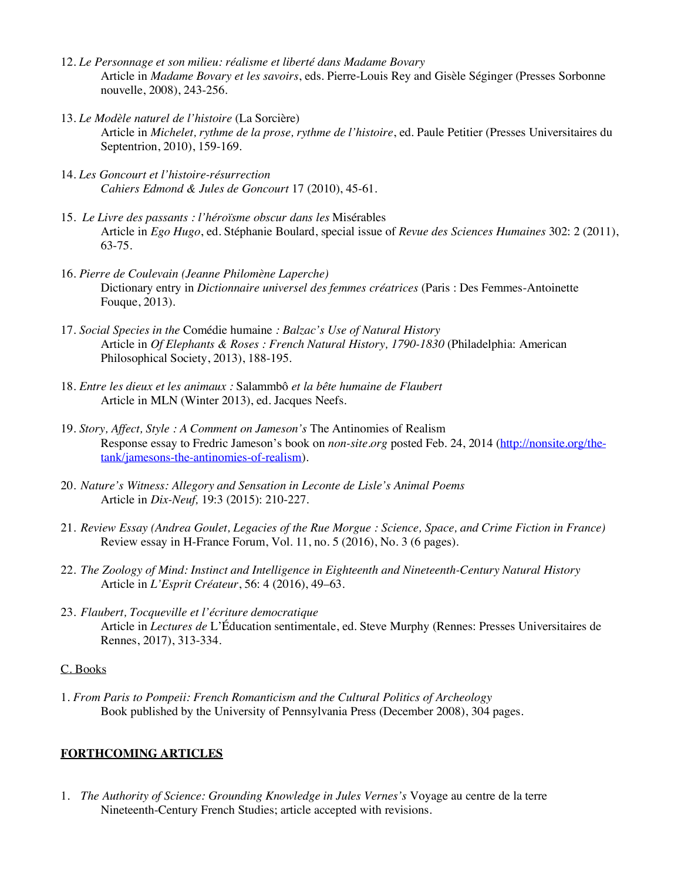- 12. *Le Personnage et son milieu: réalisme et liberté dans Madame Bovary* Article in *Madame Bovary et les savoirs*, eds. Pierre-Louis Rey and Gisèle Séginger (Presses Sorbonne nouvelle, 2008), 243-256.
- 13. *Le Modèle naturel de l'histoire* (La Sorcière) Article in *Michelet, rythme de la prose, rythme de l'histoire*, ed. Paule Petitier (Presses Universitaires du Septentrion, 2010), 159-169.
- 14. *Les Goncourt et l'histoire-résurrection Cahiers Edmond & Jules de Goncourt* 17 (2010), 45-61.
- 15. *Le Livre des passants : l'héroïsme obscur dans les* Misérables Article in *Ego Hugo*, ed. Stéphanie Boulard, special issue of *Revue des Sciences Humaines* 302: 2 (2011), 63-75.
- 16. *Pierre de Coulevain (Jeanne Philomène Laperche)*  Dictionary entry in *Dictionnaire universel des femmes créatrices* (Paris : Des Femmes-Antoinette Fouque, 2013).
- 17. *Social Species in the* Comédie humaine *: Balzac's Use of Natural History* Article in *Of Elephants & Roses : French Natural History, 1790-1830* (Philadelphia: American Philosophical Society, 2013), 188-195.
- 18. *Entre les dieux et les animaux :* Salammbô *et la bête humaine de Flaubert* Article in MLN (Winter 2013), ed. Jacques Neefs.
- 19*. Story, Affect, Style : A Comment on Jameson's* The Antinomies of Realism Response essay to Fredric Jameson's book on *non-site.org* posted Feb. 24, 2014 (http://nonsite.org/thetank/jamesons-the-antinomies-of-realism).
- 20. *Nature's Witness: Allegory and Sensation in Leconte de Lisle's Animal Poems* Article in *Dix-Neuf,* 19:3 (2015): 210-227.
- 21. *Review Essay (Andrea Goulet, Legacies of the Rue Morgue : Science, Space, and Crime Fiction in France)* Review essay in H-France Forum, Vol. 11, no. 5 (2016), No. 3 (6 pages).
- 22. *The Zoology of Mind: Instinct and Intelligence in Eighteenth and Nineteenth-Century Natural History* Article in *L'Esprit Créateur*, 56: 4 (2016), 49–63.
- 23. *Flaubert, Tocqueville et l'écriture democratique* Article in *Lectures de* L'Éducation sentimentale, ed. Steve Murphy (Rennes: Presses Universitaires de Rennes, 2017), 313-334.

### C. Books

1. *From Paris to Pompeii: French Romanticism and the Cultural Politics of Archeology* Book published by the University of Pennsylvania Press (December 2008), 304 pages.

## **FORTHCOMING ARTICLES**

1. *The Authority of Science: Grounding Knowledge in Jules Vernes's* Voyage au centre de la terre Nineteenth-Century French Studies; article accepted with revisions.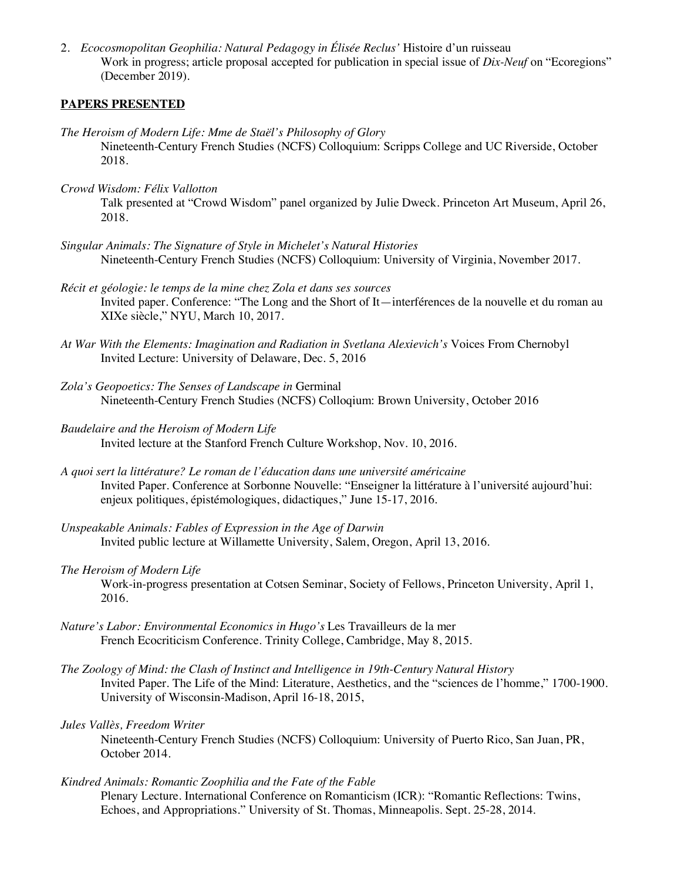2. *Ecocosmopolitan Geophilia: Natural Pedagogy in Élisée Reclus'* Histoire d'un ruisseau Work in progress; article proposal accepted for publication in special issue of *Dix-Neuf* on "Ecoregions" (December 2019).

### **PAPERS PRESENTED**

- *The Heroism of Modern Life: Mme de Staël's Philosophy of Glory* Nineteenth-Century French Studies (NCFS) Colloquium: Scripps College and UC Riverside, October 2018.
- *Crowd Wisdom: Félix Vallotton*

Talk presented at "Crowd Wisdom" panel organized by Julie Dweck. Princeton Art Museum, April 26, 2018.

- *Singular Animals: The Signature of Style in Michelet's Natural Histories* Nineteenth-Century French Studies (NCFS) Colloquium: University of Virginia, November 2017.
- *Récit et géologie: le temps de la mine chez Zola et dans ses sources* Invited paper. Conference: "The Long and the Short of It—interférences de la nouvelle et du roman au XIXe siècle," NYU, March 10, 2017.
- *At War With the Elements: Imagination and Radiation in Svetlana Alexievich's* Voices From Chernobyl Invited Lecture: University of Delaware, Dec. 5, 2016
- *Zola's Geopoetics: The Senses of Landscape in* Germinal Nineteenth-Century French Studies (NCFS) Colloqium: Brown University, October 2016
- *Baudelaire and the Heroism of Modern Life* Invited lecture at the Stanford French Culture Workshop, Nov. 10, 2016.
- *A quoi sert la littérature? Le roman de l'éducation dans une université américaine* Invited Paper. Conference at Sorbonne Nouvelle: "Enseigner la littérature à l'université aujourd'hui: enjeux politiques, épistémologiques, didactiques," June 15-17, 2016.
- *Unspeakable Animals: Fables of Expression in the Age of Darwin* Invited public lecture at Willamette University, Salem, Oregon, April 13, 2016.
- *The Heroism of Modern Life* Work-in-progress presentation at Cotsen Seminar, Society of Fellows, Princeton University, April 1, 2016.
- *Nature's Labor: Environmental Economics in Hugo's* Les Travailleurs de la mer French Ecocriticism Conference. Trinity College, Cambridge, May 8, 2015.
- *The Zoology of Mind: the Clash of Instinct and Intelligence in 19th-Century Natural History* Invited Paper. The Life of the Mind: Literature, Aesthetics, and the "sciences de l'homme," 1700-1900. University of Wisconsin-Madison, April 16-18, 2015,

### *Jules Vallès, Freedom Writer*

Nineteenth-Century French Studies (NCFS) Colloquium: University of Puerto Rico, San Juan, PR, October 2014.

*Kindred Animals: Romantic Zoophilia and the Fate of the Fable*

Plenary Lecture. International Conference on Romanticism (ICR): "Romantic Reflections: Twins, Echoes, and Appropriations." University of St. Thomas, Minneapolis. Sept. 25-28, 2014.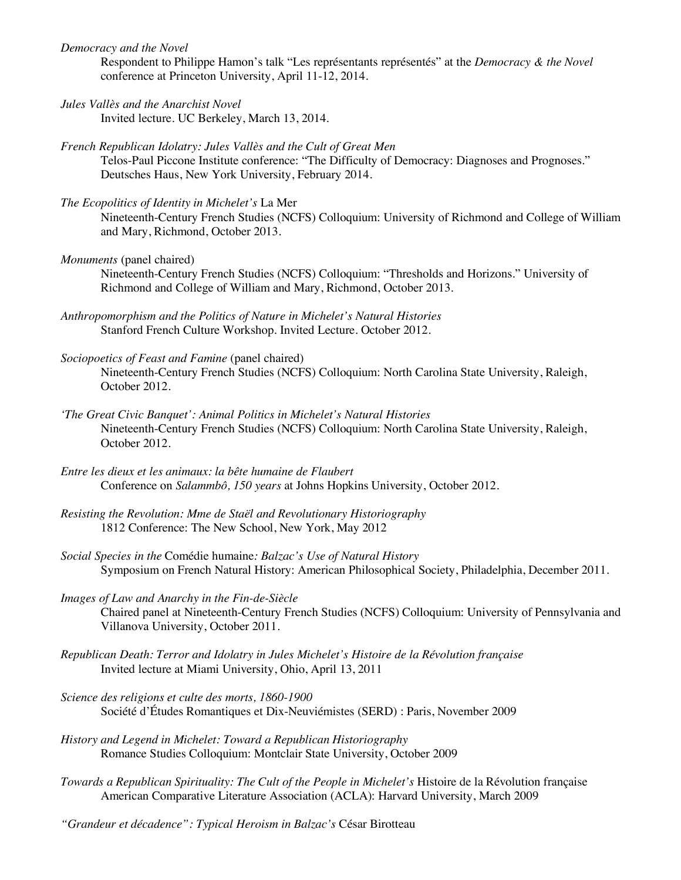*Democracy and the Novel*

Respondent to Philippe Hamon's talk "Les représentants représentés" at the *Democracy & the Novel* conference at Princeton University, April 11-12, 2014.

- *Jules Vallès and the Anarchist Novel* Invited lecture. UC Berkeley, March 13, 2014.
- *French Republican Idolatry: Jules Vallès and the Cult of Great Men* Telos-Paul Piccone Institute conference: "The Difficulty of Democracy: Diagnoses and Prognoses." Deutsches Haus, New York University, February 2014.
- *The Ecopolitics of Identity in Michelet's* La Mer Nineteenth-Century French Studies (NCFS) Colloquium: University of Richmond and College of William and Mary, Richmond, October 2013.
- *Monuments* (panel chaired)

Nineteenth-Century French Studies (NCFS) Colloquium: "Thresholds and Horizons." University of Richmond and College of William and Mary, Richmond, October 2013.

- *Anthropomorphism and the Politics of Nature in Michelet's Natural Histories* Stanford French Culture Workshop. Invited Lecture. October 2012.
- *Sociopoetics of Feast and Famine* (panel chaired) Nineteenth-Century French Studies (NCFS) Colloquium: North Carolina State University, Raleigh, October 2012.
- *'The Great Civic Banquet': Animal Politics in Michelet's Natural Histories* Nineteenth-Century French Studies (NCFS) Colloquium: North Carolina State University, Raleigh, October 2012.
- *Entre les dieux et les animaux: la bête humaine de Flaubert* Conference on *Salammbô, 150 years* at Johns Hopkins University, October 2012.
- *Resisting the Revolution: Mme de Staël and Revolutionary Historiography*  1812 Conference: The New School, New York, May 2012
- *Social Species in the* Comédie humaine*: Balzac's Use of Natural History* Symposium on French Natural History: American Philosophical Society, Philadelphia, December 2011.
- *Images of Law and Anarchy in the Fin-de-Siècle* Chaired panel at Nineteenth-Century French Studies (NCFS) Colloquium: University of Pennsylvania and Villanova University, October 2011.
- *Republican Death: Terror and Idolatry in Jules Michelet's Histoire de la Révolution française* Invited lecture at Miami University, Ohio, April 13, 2011
- *Science des religions et culte des morts, 1860-1900* Société d'Études Romantiques et Dix-Neuviémistes (SERD) : Paris, November 2009
- *History and Legend in Michelet: Toward a Republican Historiography* Romance Studies Colloquium: Montclair State University, October 2009
- *Towards a Republican Spirituality: The Cult of the People in Michelet's* Histoire de la Révolution française American Comparative Literature Association (ACLA): Harvard University, March 2009
- *"Grandeur et décadence": Typical Heroism in Balzac's* César Birotteau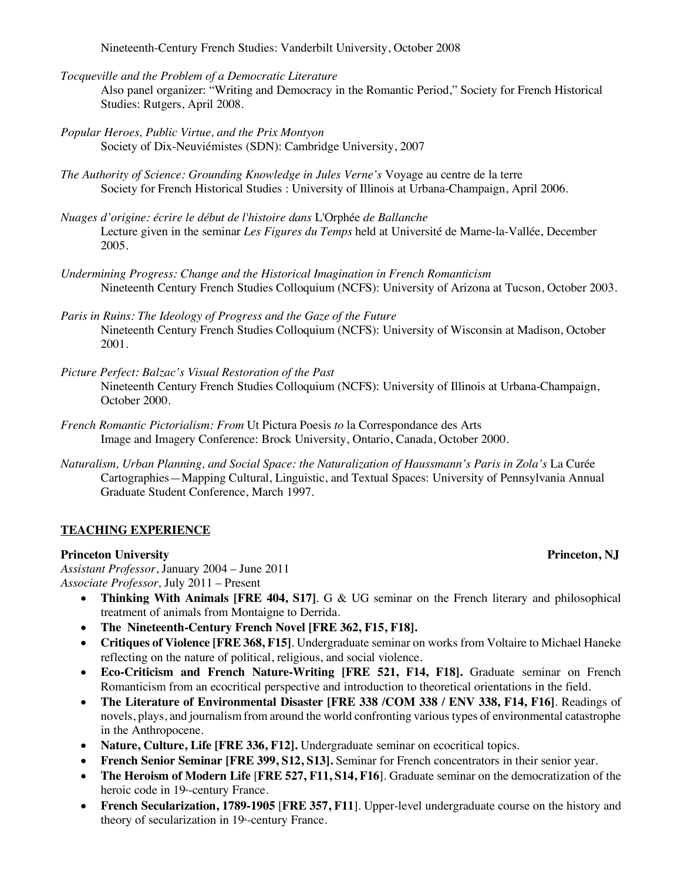Nineteenth-Century French Studies: Vanderbilt University, October 2008

*Tocqueville and the Problem of a Democratic Literature*

Also panel organizer: "Writing and Democracy in the Romantic Period," Society for French Historical Studies: Rutgers, April 2008.

- *Popular Heroes, Public Virtue, and the Prix Montyon* Society of Dix-Neuviémistes (SDN): Cambridge University, 2007
- *The Authority of Science: Grounding Knowledge in Jules Verne's* Voyage au centre de la terre Society for French Historical Studies : University of Illinois at Urbana-Champaign, April 2006.
- *Nuages d'origine: écrire le début de l'histoire dans* L'Orphée *de Ballanche* Lecture given in the seminar *Les Figures du Temps* held at Université de Marne-la-Vallée, December 2005.
- *Undermining Progress: Change and the Historical Imagination in French Romanticism* Nineteenth Century French Studies Colloquium (NCFS): University of Arizona at Tucson, October 2003.
- *Paris in Ruins: The Ideology of Progress and the Gaze of the Future*  Nineteenth Century French Studies Colloquium (NCFS): University of Wisconsin at Madison, October 2001.
- *Picture Perfect: Balzac's Visual Restoration of the Past*  Nineteenth Century French Studies Colloquium (NCFS): University of Illinois at Urbana-Champaign, October 2000.
- *French Romantic Pictorialism: From* Ut Pictura Poesis *to* la Correspondance des Arts Image and Imagery Conference: Brock University, Ontario, Canada, October 2000.
- *Naturalism, Urban Planning, and Social Space: the Naturalization of Haussmann's Paris in Zola's* La Curée Cartographies—Mapping Cultural, Linguistic, and Textual Spaces: University of Pennsylvania Annual Graduate Student Conference, March 1997.

### **TEACHING EXPERIENCE**

#### **Princeton University Princeton, NJ**

*Assistant Professor*, January 2004 – June 2011 *Associate Professor,* July 2011 – Present

- **Thinking With Animals [FRE 404, S17]**. G & UG seminar on the French literary and philosophical treatment of animals from Montaigne to Derrida.
- **The Nineteenth-Century French Novel [FRE 362, F15, F18].**
- **Critiques of Violence [FRE 368, F15]**. Undergraduate seminar on works from Voltaire to Michael Haneke reflecting on the nature of political, religious, and social violence.
- **Eco-Criticism and French Nature-Writing [FRE 521, F14, F18].** Graduate seminar on French Romanticism from an ecocritical perspective and introduction to theoretical orientations in the field.
- **The Literature of Environmental Disaster [FRE 338 /COM 338 / ENV 338, F14, F16]**. Readings of novels, plays, and journalism from around the world confronting various types of environmental catastrophe in the Anthropocene.
- **Nature, Culture, Life [FRE 336, F12].** Undergraduate seminar on ecocritical topics.
- **French Senior Seminar [FRE 399, S12, S13].** Seminar for French concentrators in their senior year.
- **The Heroism of Modern Life** [**FRE 527, F11, S14, F16**]. Graduate seminar on the democratization of the heroic code in 19<sup>th</sup>-century France.
- **French Secularization, 1789-1905** [**FRE 357, F11**]. Upper-level undergraduate course on the history and theory of secularization in  $19$ <sup>th</sup>-century France.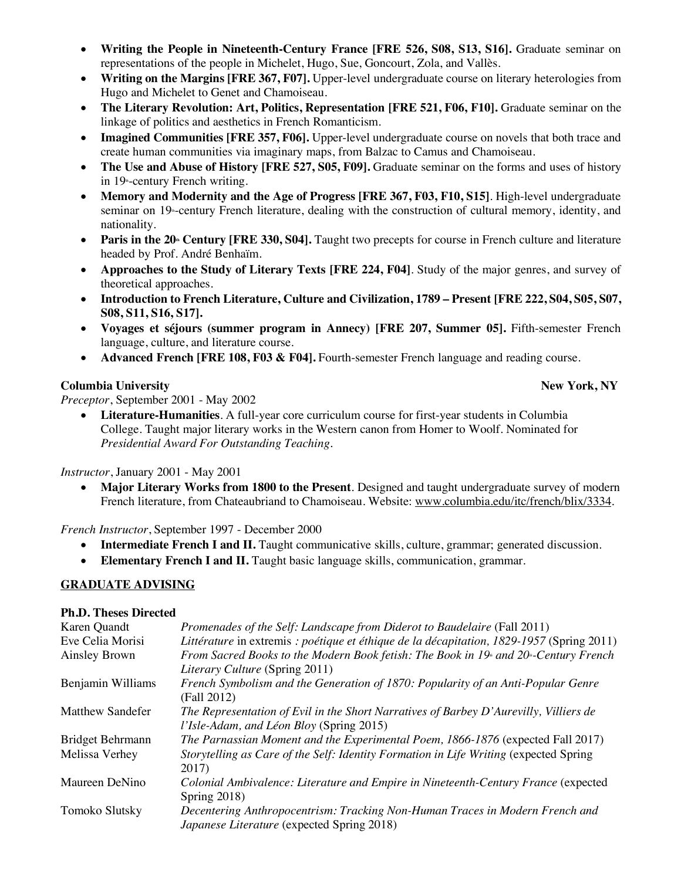- **Writing the People in Nineteenth-Century France [FRE 526, S08, S13, S16].** Graduate seminar on representations of the people in Michelet, Hugo, Sue, Goncourt, Zola, and Vallès.
- **Writing on the Margins [FRE 367, F07].** Upper-level undergraduate course on literary heterologies from Hugo and Michelet to Genet and Chamoiseau.
- **The Literary Revolution: Art, Politics, Representation [FRE 521, F06, F10].** Graduate seminar on the linkage of politics and aesthetics in French Romanticism.
- **Imagined Communities [FRE 357, F06].** Upper-level undergraduate course on novels that both trace and create human communities via imaginary maps, from Balzac to Camus and Chamoiseau.
- **The Use and Abuse of History [FRE 527, S05, F09].** Graduate seminar on the forms and uses of history in 19<sup>th</sup>-century French writing.
- **Memory and Modernity and the Age of Progress [FRE 367, F03, F10, S15]**. High-level undergraduate seminar on 19<sup>th</sup>-century French literature, dealing with the construction of cultural memory, identity, and nationality.
- **Paris in the 20<sup>th</sup> Century [FRE 330, S04].** Taught two precepts for course in French culture and literature headed by Prof. André Benhaïm.
- **Approaches to the Study of Literary Texts [FRE 224, F04]**. Study of the major genres, and survey of theoretical approaches.
- **Introduction to French Literature, Culture and Civilization, 1789 – Present [FRE 222, S04, S05, S07, S08, S11, S16, S17].**
- **Voyages et séjours (summer program in Annecy) [FRE 207, Summer 05].** Fifth-semester French language, culture, and literature course.
- **Advanced French [FRE 108, F03 & F04].** Fourth-semester French language and reading course.

## **Columbia University** And the Columbia University And the Columbia University And the University And the University And the University And the University And the University And the University And the University And the Uni

*Preceptor*, September 2001 - May 2002

• **Literature-Humanities**. A full-year core curriculum course for first-year students in Columbia College. Taught major literary works in the Western canon from Homer to Woolf. Nominated for *Presidential Award For Outstanding Teaching.*

*Instructor*, January 2001 - May 2001

• **Major Literary Works from 1800 to the Present**. Designed and taught undergraduate survey of modern French literature, from Chateaubriand to Chamoiseau. Website: www.columbia.edu/itc/french/blix/3334.

*French Instructor*, September 1997 - December 2000

- **Intermediate French I and II.** Taught communicative skills, culture, grammar; generated discussion.
- **Elementary French I and II.** Taught basic language skills, communication, grammar.

### **GRADUATE ADVISING**

### **Ph.D. Theses Directed**

| Karen Quandt            | Promenades of the Self: Landscape from Diderot to Baudelaire (Fall 2011)                                       |
|-------------------------|----------------------------------------------------------------------------------------------------------------|
| Eve Celia Morisi        | Littérature in extremis : poétique et éthique de la décapitation, 1829-1957 (Spring 2011)                      |
| Ainsley Brown           | From Sacred Books to the Modern Book fetish: The Book in 19 <sup>th</sup> and 20 <sup>th</sup> -Century French |
|                         | <i>Literary Culture (Spring 2011)</i>                                                                          |
| Benjamin Williams       | French Symbolism and the Generation of 1870: Popularity of an Anti-Popular Genre                               |
|                         | (Fall 2012)                                                                                                    |
| <b>Matthew Sandefer</b> | The Representation of Evil in the Short Narratives of Barbey D'Aurevilly, Villiers de                          |
|                         | l'Isle-Adam, and Léon Bloy (Spring 2015)                                                                       |
| Bridget Behrmann        | The Parnassian Moment and the Experimental Poem, 1866-1876 (expected Fall 2017)                                |
| Melissa Verhey          | Storytelling as Care of the Self: Identity Formation in Life Writing (expected Spring                          |
|                         | 2017)                                                                                                          |
| Maureen DeNino          | Colonial Ambivalence: Literature and Empire in Nineteenth-Century France (expected                             |
|                         | Spring $2018$ )                                                                                                |
| Tomoko Slutsky          | Decentering Anthropocentrism: Tracking Non-Human Traces in Modern French and                                   |
|                         | Japanese Literature (expected Spring 2018)                                                                     |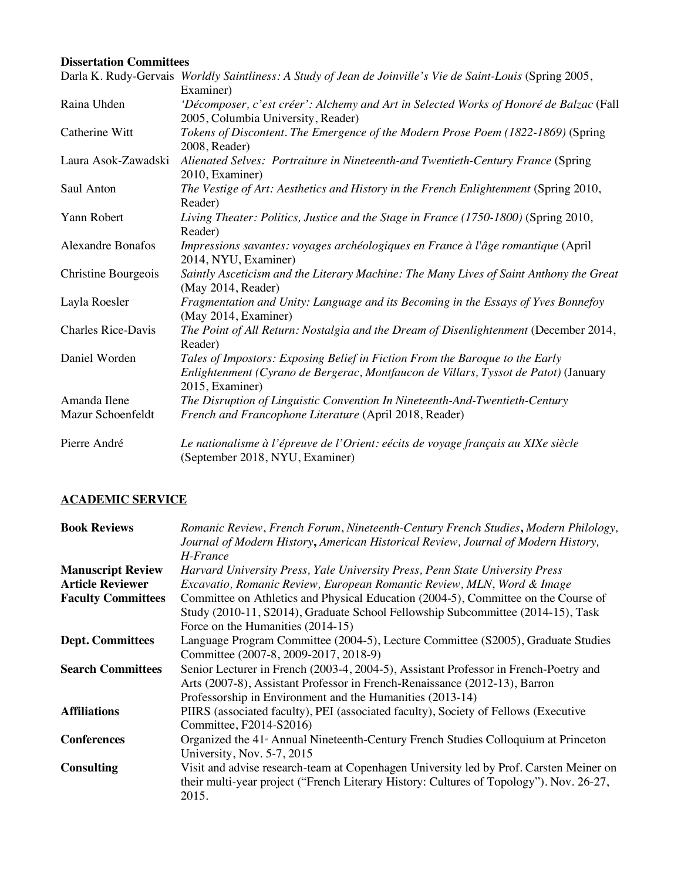## **Dissertation Committees**

|                           | Darla K. Rudy-Gervais Worldly Saintliness: A Study of Jean de Joinville's Vie de Saint-Louis (Spring 2005, |
|---------------------------|------------------------------------------------------------------------------------------------------------|
|                           | Examiner)                                                                                                  |
| Raina Uhden               | 'Décomposer, c'est créer': Alchemy and Art in Selected Works of Honoré de Balzac (Fall                     |
|                           | 2005, Columbia University, Reader)                                                                         |
| Catherine Witt            | Tokens of Discontent. The Emergence of the Modern Prose Poem (1822-1869) (Spring                           |
|                           | 2008, Reader)                                                                                              |
| Laura Asok-Zawadski       | Alienated Selves: Portraiture in Nineteenth-and Twentieth-Century France (Spring                           |
|                           | 2010, Examiner)                                                                                            |
| Saul Anton                | The Vestige of Art: Aesthetics and History in the French Enlightenment (Spring 2010,                       |
|                           | Reader)                                                                                                    |
| Yann Robert               | Living Theater: Politics, Justice and the Stage in France (1750-1800) (Spring 2010,                        |
|                           | Reader)                                                                                                    |
| <b>Alexandre Bonafos</b>  | Impressions savantes: voyages archéologiques en France à l'âge romantique (April                           |
|                           | 2014, NYU, Examiner)                                                                                       |
| Christine Bourgeois       | Saintly Asceticism and the Literary Machine: The Many Lives of Saint Anthony the Great                     |
|                           | (May 2014, Reader)                                                                                         |
| Layla Roesler             | Fragmentation and Unity: Language and its Becoming in the Essays of Yves Bonnefoy                          |
|                           | (May 2014, Examiner)                                                                                       |
| <b>Charles Rice-Davis</b> | The Point of All Return: Nostalgia and the Dream of Disenlightenment (December 2014,                       |
|                           | Reader)                                                                                                    |
| Daniel Worden             | Tales of Impostors: Exposing Belief in Fiction From the Baroque to the Early                               |
|                           | Enlightenment (Cyrano de Bergerac, Montfaucon de Villars, Tyssot de Patot) (January                        |
|                           | 2015, Examiner)                                                                                            |
| Amanda Ilene              | The Disruption of Linguistic Convention In Nineteenth-And-Twentieth-Century                                |
| Mazur Schoenfeldt         | French and Francophone Literature (April 2018, Reader)                                                     |
| Pierre André              | Le nationalisme à l'épreuve de l'Orient: eécits de voyage français au XIXe siècle                          |
|                           | (September 2018, NYU, Examiner)                                                                            |

# **ACADEMIC SERVICE**

| <b>Book Reviews</b>       | Romanic Review, French Forum, Nineteenth-Century French Studies, Modern Philology,<br>Journal of Modern History, American Historical Review, Journal of Modern History, |
|---------------------------|-------------------------------------------------------------------------------------------------------------------------------------------------------------------------|
|                           | H-France                                                                                                                                                                |
| <b>Manuscript Review</b>  | Harvard University Press, Yale University Press, Penn State University Press                                                                                            |
| <b>Article Reviewer</b>   | Excavatio, Romanic Review, European Romantic Review, MLN, Word & Image                                                                                                  |
| <b>Faculty Committees</b> | Committee on Athletics and Physical Education (2004-5), Committee on the Course of                                                                                      |
|                           | Study (2010-11, S2014), Graduate School Fellowship Subcommittee (2014-15), Task                                                                                         |
|                           | Force on the Humanities (2014-15)                                                                                                                                       |
| <b>Dept. Committees</b>   | Language Program Committee (2004-5), Lecture Committee (S2005), Graduate Studies                                                                                        |
|                           | Committee (2007-8, 2009-2017, 2018-9)                                                                                                                                   |
| <b>Search Committees</b>  | Senior Lecturer in French (2003-4, 2004-5), Assistant Professor in French-Poetry and                                                                                    |
|                           | Arts (2007-8), Assistant Professor in French-Renaissance (2012-13), Barron                                                                                              |
|                           | Professorship in Environment and the Humanities (2013-14)                                                                                                               |
| <b>Affiliations</b>       | PIIRS (associated faculty), PEI (associated faculty), Society of Fellows (Executive                                                                                     |
|                           | Committee, F2014-S2016)                                                                                                                                                 |
| <b>Conferences</b>        | Organized the 41 <sup>*</sup> Annual Nineteenth-Century French Studies Colloquium at Princeton                                                                          |
|                           | University, Nov. 5-7, 2015                                                                                                                                              |
| <b>Consulting</b>         | Visit and advise research-team at Copenhagen University led by Prof. Carsten Meiner on                                                                                  |
|                           | their multi-year project ("French Literary History: Cultures of Topology"). Nov. 26-27,<br>2015.                                                                        |